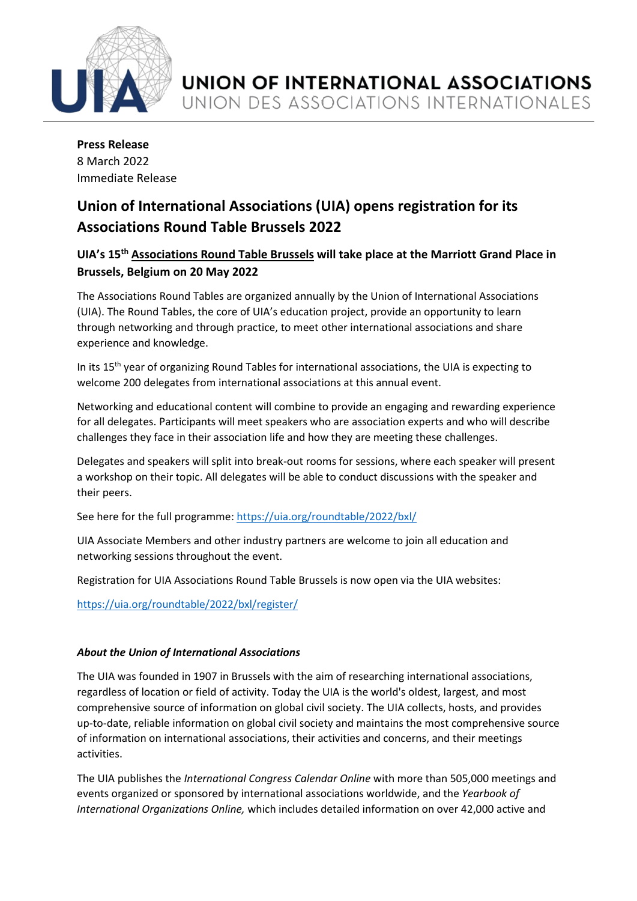

**Press Release** 8 March 2022 Immediate Release

## **Union of International Associations (UIA) opens registration for its Associations Round Table Brussels 2022**

## **UIA's 15th Associations Round Table Brussels will take place at the Marriott Grand Place in Brussels, Belgium on 20 May 2022**

The Associations Round Tables are organized annually by the Union of International Associations (UIA). The Round Tables, the core of UIA's education project, provide an opportunity to learn through networking and through practice, to meet other international associations and share experience and knowledge.

In its 15<sup>th</sup> year of organizing Round Tables for international associations, the UIA is expecting to welcome 200 delegates from international associations at this annual event.

Networking and educational content will combine to provide an engaging and rewarding experience for all delegates. Participants will meet speakers who are association experts and who will describe challenges they face in their association life and how they are meeting these challenges.

Delegates and speakers will split into break-out rooms for sessions, where each speaker will present a workshop on their topic. All delegates will be able to conduct discussions with the speaker and their peers.

See here for the full programme:<https://uia.org/roundtable/2022/bxl/>

UIA Associate Members and other industry partners are welcome to join all education and networking sessions throughout the event.

Registration for UIA Associations Round Table Brussels is now open via the UIA websites:

<https://uia.org/roundtable/2022/bxl/register/>

## *About the Union of International Associations*

The UIA was founded in 1907 in Brussels with the aim of researching international associations, regardless of location or field of activity. Today the UIA is the world's oldest, largest, and most comprehensive source of information on global civil society. The UIA collects, hosts, and provides up-to-date, reliable information on global civil society and maintains the most comprehensive source of information on international associations, their activities and concerns, and their meetings activities.

The UIA publishes the *International Congress Calendar Online* with more than 505,000 meetings and events organized or sponsored by international associations worldwide, and the *Yearbook of International Organizations Online,* which includes detailed information on over 42,000 active and